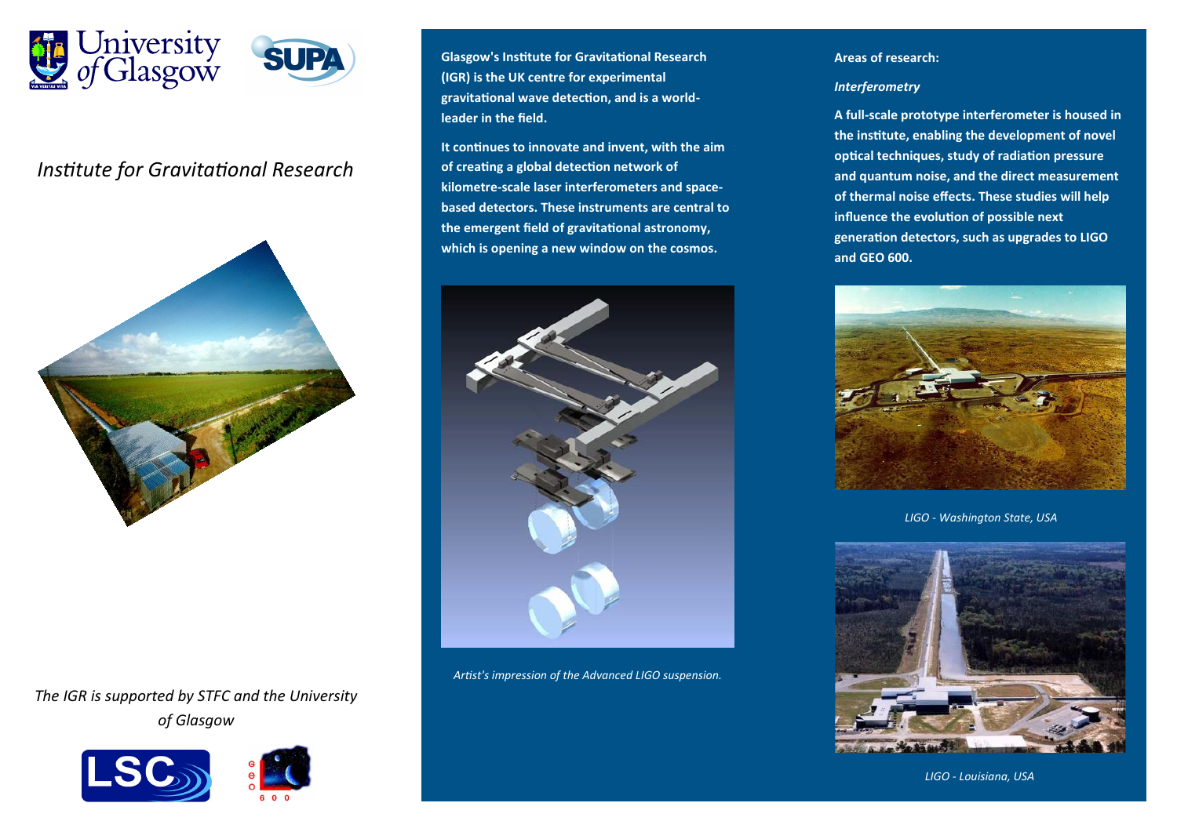

# *Institute for Gravitational Research*



*The IGR is supported by STFC and the University of Glasgow*





**Glasgow's Institute for Gravitational Research (IGR) is the UK centre for experimental gravitational wave detection, and is a worldleader in the field.**

**It continues to innovate and invent, with the aim of creating a global detection network of kilometre-scale laser interferometers and spacebased detectors. These instruments are central to the emergent field of gravitational astronomy, which is opening a new window on the cosmos.**



*Artist's impression of the Advanced LIGO suspension.*

# **Areas of research:**

## *Interferometry*

**A full-scale prototype interferometer is housed in the institute, enabling the development of novel optical techniques, study of radiation pressure and quantum noise, and the direct measurement of thermal noise effects. These studies will help influence the evolution of possible next generation detectors, such as upgrades to LIGO and GEO 600.**



*LIGO - Washington State, USA*



*LIGO - Louisiana, USA*